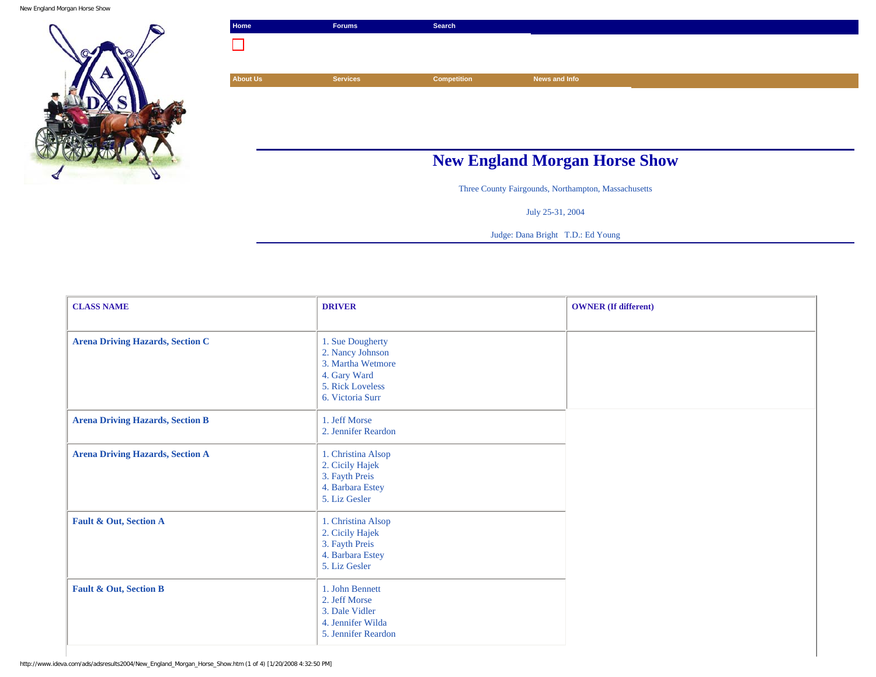New England Morgan Horse Show



| Home            | <b>Forums</b>                        | Search             |               |  |  |
|-----------------|--------------------------------------|--------------------|---------------|--|--|
|                 |                                      |                    |               |  |  |
|                 |                                      |                    |               |  |  |
| <b>About Us</b> | <b>Services</b>                      | <b>Competition</b> | News and Info |  |  |
|                 |                                      |                    |               |  |  |
|                 |                                      |                    |               |  |  |
|                 |                                      |                    |               |  |  |
|                 |                                      |                    |               |  |  |
|                 | <b>New England Morgan Horse Show</b> |                    |               |  |  |

Three County Fairgounds, Northampton, Massachusetts

July 25-31, 2004

Judge: Dana Bright T.D.: Ed Young

| <b>CLASS NAME</b>                       | <b>DRIVER</b>                                                                                                     | <b>OWNER</b> (If different) |
|-----------------------------------------|-------------------------------------------------------------------------------------------------------------------|-----------------------------|
| <b>Arena Driving Hazards, Section C</b> | 1. Sue Dougherty<br>2. Nancy Johnson<br>3. Martha Wetmore<br>4. Gary Ward<br>5. Rick Loveless<br>6. Victoria Surr |                             |
| <b>Arena Driving Hazards, Section B</b> | 1. Jeff Morse<br>2. Jennifer Reardon                                                                              |                             |
| <b>Arena Driving Hazards, Section A</b> | 1. Christina Alsop<br>2. Cicily Hajek<br>3. Fayth Preis<br>4. Barbara Estey<br>5. Liz Gesler                      |                             |
| Fault & Out, Section A                  | 1. Christina Alsop<br>2. Cicily Hajek<br>3. Fayth Preis<br>4. Barbara Estey<br>5. Liz Gesler                      |                             |
| Fault & Out, Section B                  | 1. John Bennett<br>2. Jeff Morse<br>3. Dale Vidler<br>4. Jennifer Wilda<br>5. Jennifer Reardon                    |                             |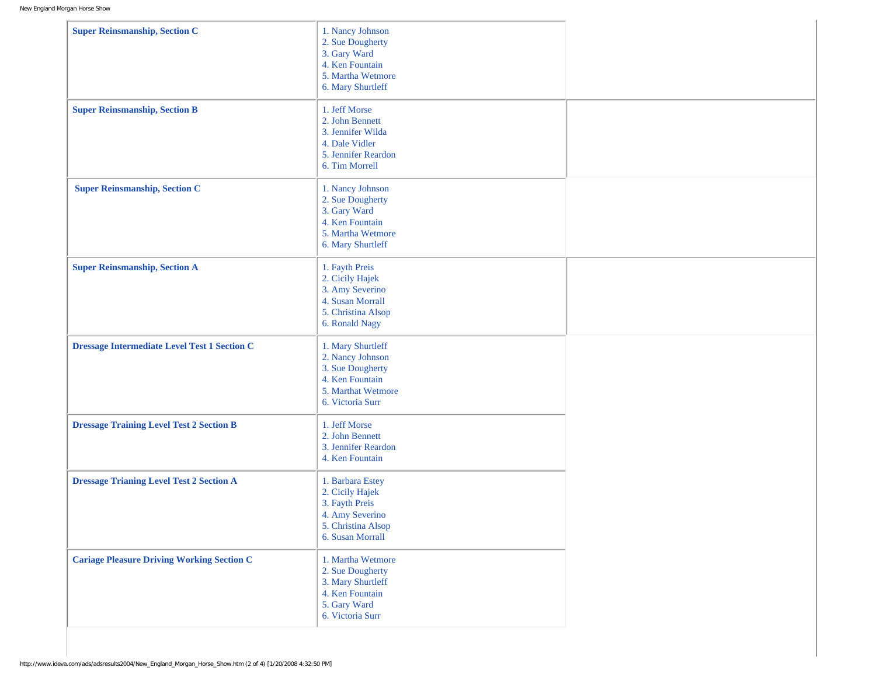| <b>Super Reinsmanship, Section C</b>                | 1. Nancy Johnson<br>2. Sue Dougherty<br>3. Gary Ward<br>4. Ken Fountain<br>5. Martha Wetmore<br>6. Mary Shurtleff      |  |
|-----------------------------------------------------|------------------------------------------------------------------------------------------------------------------------|--|
| <b>Super Reinsmanship, Section B</b>                | 1. Jeff Morse<br>2. John Bennett<br>3. Jennifer Wilda<br>4. Dale Vidler<br>5. Jennifer Reardon<br>6. Tim Morrell       |  |
| <b>Super Reinsmanship, Section C</b>                | 1. Nancy Johnson<br>2. Sue Dougherty<br>3. Gary Ward<br>4. Ken Fountain<br>5. Martha Wetmore<br>6. Mary Shurtleff      |  |
| <b>Super Reinsmanship, Section A</b>                | 1. Fayth Preis<br>2. Cicily Hajek<br>3. Amy Severino<br>4. Susan Morrall<br>5. Christina Alsop<br>6. Ronald Nagy       |  |
| <b>Dressage Intermediate Level Test 1 Section C</b> | 1. Mary Shurtleff<br>2. Nancy Johnson<br>3. Sue Dougherty<br>4. Ken Fountain<br>5. Marthat Wetmore<br>6. Victoria Surr |  |
| <b>Dressage Training Level Test 2 Section B</b>     | 1. Jeff Morse<br>2. John Bennett<br>3. Jennifer Reardon<br>4. Ken Fountain                                             |  |
| <b>Dressage Trianing Level Test 2 Section A</b>     | 1. Barbara Estey<br>2. Cicily Hajek<br>3. Fayth Preis<br>4. Amy Severino<br>5. Christina Alsop<br>6. Susan Morrall     |  |
| <b>Cariage Pleasure Driving Working Section C</b>   | 1. Martha Wetmore<br>2. Sue Dougherty<br>3. Mary Shurtleff<br>4. Ken Fountain<br>5. Gary Ward<br>6. Victoria Surr      |  |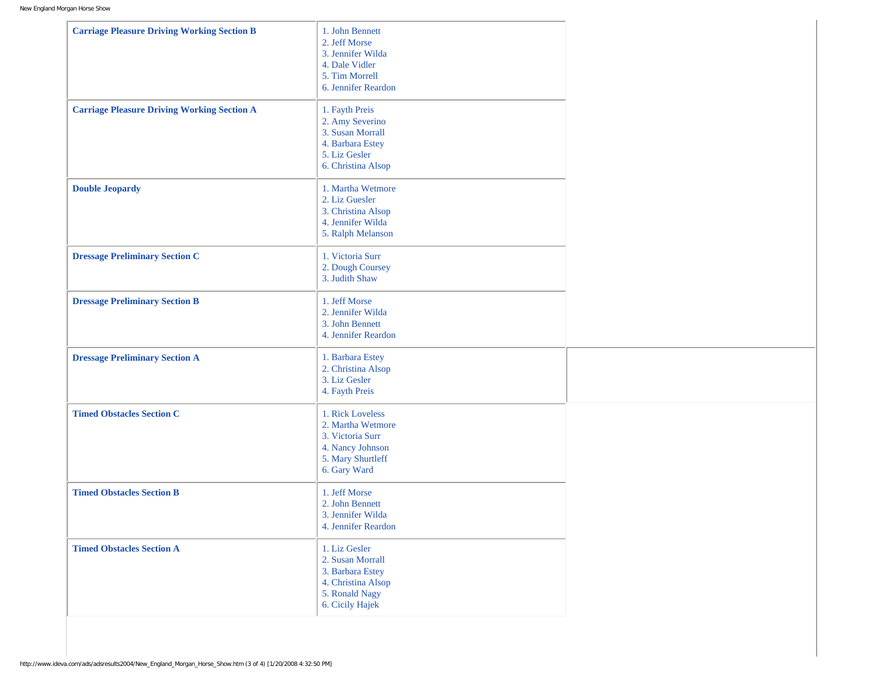| <b>Carriage Pleasure Driving Working Section B</b> | 1. John Bennett<br>2. Jeff Morse<br>3. Jennifer Wilda<br>4. Dale Vidler<br>5. Tim Morrell<br>6. Jennifer Reardon   |  |
|----------------------------------------------------|--------------------------------------------------------------------------------------------------------------------|--|
| <b>Carriage Pleasure Driving Working Section A</b> | 1. Fayth Preis<br>2. Amy Severino<br>3. Susan Morrall<br>4. Barbara Estey<br>5. Liz Gesler<br>6. Christina Alsop   |  |
| <b>Double Jeopardy</b>                             | 1. Martha Wetmore<br>2. Liz Guesler<br>3. Christina Alsop<br>4. Jennifer Wilda<br>5. Ralph Melanson                |  |
| <b>Dressage Preliminary Section C</b>              | 1. Victoria Surr<br>2. Dough Coursey<br>3. Judith Shaw                                                             |  |
| <b>Dressage Preliminary Section B</b>              | 1. Jeff Morse<br>2. Jennifer Wilda<br>3. John Bennett<br>4. Jennifer Reardon                                       |  |
| <b>Dressage Preliminary Section A</b>              | 1. Barbara Estey<br>2. Christina Alsop<br>3. Liz Gesler<br>4. Fayth Preis                                          |  |
| <b>Timed Obstacles Section C</b>                   | 1. Rick Loveless<br>2. Martha Wetmore<br>3. Victoria Surr<br>4. Nancy Johnson<br>5. Mary Shurtleff<br>6. Gary Ward |  |
| <b>Timed Obstacles Section B</b>                   | 1. Jeff Morse<br>2. John Bennett<br>3. Jennifer Wilda<br>4. Jennifer Reardon                                       |  |
| <b>Timed Obstacles Section A</b>                   | 1. Liz Gesler<br>2. Susan Morrall<br>3. Barbara Estey<br>4. Christina Alsop<br>5. Ronald Nagy<br>6. Cicily Hajek   |  |